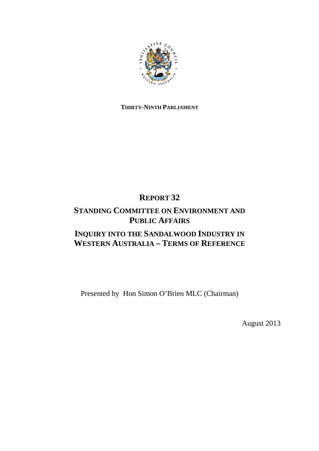

# **THIRTY-NINTH PARLIAMENT**

# **REPORT 32**

# **STANDING COMMITTEE ON ENVIRONMENT AND PUBLIC AFFAIRS**

# **INQUIRY INTO THE SANDALWOOD INDUSTRY IN WESTERN AUSTRALIA – TERMS OF REFERENCE**

Presented by Hon Simon O'Brien MLC (Chairman)

August 2013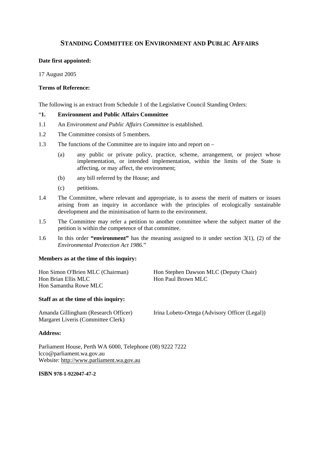# **STANDING COMMITTEE ON ENVIRONMENT AND PUBLIC AFFAIRS**

## **Date first appointed:**

17 August 2005

### **Terms of Reference:**

The following is an extract from Schedule 1 of the Legislative Council Standing Orders:

## "**1. Environment and Public Affairs Committee**

- 1.1 An *Environment and Public Affairs Committee* is established.
- 1.2 The Committee consists of 5 members.
- 1.3 The functions of the Committee are to inquire into and report on
	- (a) any public or private policy, practice, scheme, arrangement, or project whose implementation, or intended implementation, within the limits of the State is affecting, or may affect, the environment;
	- (b) any bill referred by the House; and
	- (c) petitions.
- 1.4 The Committee, where relevant and appropriate, is to assess the merit of matters or issues arising from an inquiry in accordance with the principles of ecologically sustainable development and the minimisation of harm to the environment.
- 1.5 The Committee may refer a petition to another committee where the subject matter of the petition is within the competence of that committee.
- 1.6 In this order **"environment"** has the meaning assigned to it under section 3(1), (2) of the *Environmental Protection Act 1986*."

### **Members as at the time of this inquiry:**

Hon Samantha Rowe MLC

Hon Simon O'Brien MLC (Chairman) Hon Stephen Dawson MLC (Deputy Chair)<br>
Hon Brian Ellis MLC Hon Paul Brown MLC Hon Paul Brown MLC

### **Staff as at the time of this inquiry:**

Margaret Liveris (Committee Clerk)

Amanda Gillingham (Research Officer) Irina Lobeto-Ortega (Advisory Officer (Legal))

#### **Address:**

Parliament House, Perth WA 6000, Telephone (08) 9222 7222 lcco@parliament.wa.gov.au Website: http://www.parliament.wa.gov.au

#### **ISBN 978-1-922047-47-2**